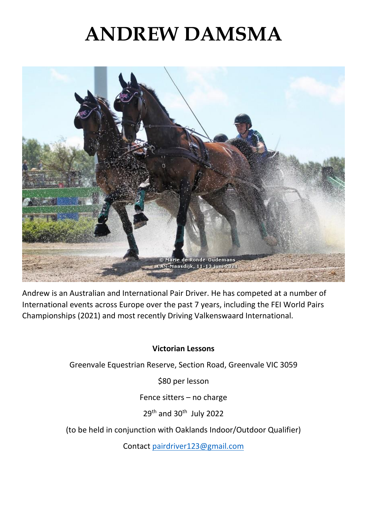## **ANDREW DAMSMA**



Andrew is an Australian and International Pair Driver. He has competed at a number of International events across Europe over the past 7 years, including the FEI World Pairs Championships (2021) and most recently Driving Valkenswaard International.

#### **Victorian Lessons**

Greenvale Equestrian Reserve, Section Road, Greenvale VIC 3059

\$80 per lesson

Fence sitters – no charge

29<sup>th</sup> and 30<sup>th</sup> July 2022

(to be held in conjunction with Oaklands Indoor/Outdoor Qualifier)

Contact [pairdriver123@gmail.com](mailto:pairdriver123@gmail.com)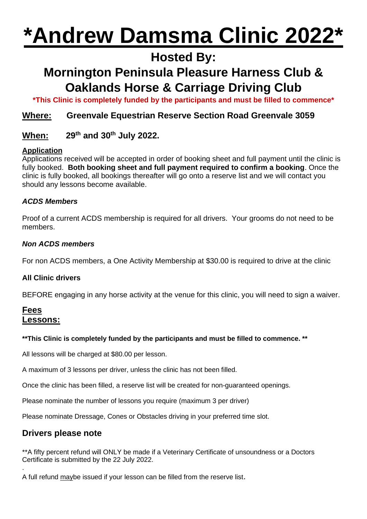# **\*Andrew Damsma Clinic 2022\***

## **Hosted By:**

## **Mornington Peninsula Pleasure Harness Club & Oaklands Horse & Carriage Driving Club**

**\*This Clinic is completely funded by the participants and must be filled to commence\***

#### **Where: Greenvale Equestrian Reserve Section Road Greenvale 3059**

#### **When: 29th and 30th July 2022.**

#### **Application**

Applications received will be accepted in order of booking sheet and full payment until the clinic is fully booked. **Both booking sheet and full payment required to confirm a booking**. Once the clinic is fully booked, all bookings thereafter will go onto a reserve list and we will contact you should any lessons become available.

#### *ACDS Members*

Proof of a current ACDS membership is required for all drivers. Your grooms do not need to be members.

#### *Non ACDS members*

For non ACDS members, a One Activity Membership at \$30.00 is required to drive at the clinic

#### **All Clinic drivers**

BEFORE engaging in any horse activity at the venue for this clinic, you will need to sign a waiver.

#### **Fees Lessons:**

#### **\*\*This Clinic is completely funded by the participants and must be filled to commence. \*\***

All lessons will be charged at \$80.00 per lesson.

A maximum of 3 lessons per driver, unless the clinic has not been filled.

Once the clinic has been filled, a reserve list will be created for non-guaranteed openings.

Please nominate the number of lessons you require (maximum 3 per driver)

Please nominate Dressage, Cones or Obstacles driving in your preferred time slot.

#### **Drivers please note**

\*\*A fifty percent refund will ONLY be made if a Veterinary Certificate of unsoundness or a Doctors Certificate is submitted by the 22 July 2022. .

A full refund maybe issued if your lesson can be filled from the reserve list.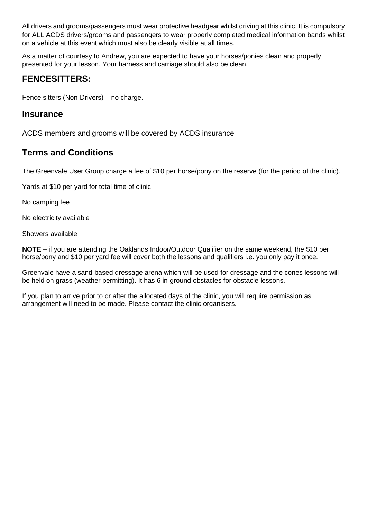All drivers and grooms/passengers must wear protective headgear whilst driving at this clinic. It is compulsory for ALL ACDS drivers/grooms and passengers to wear properly completed medical information bands whilst on a vehicle at this event which must also be clearly visible at all times.

As a matter of courtesy to Andrew, you are expected to have your horses/ponies clean and properly presented for your lesson. Your harness and carriage should also be clean.

#### **FENCESITTERS:**

Fence sitters (Non-Drivers) – no charge.

#### **Insurance**

ACDS members and grooms will be covered by ACDS insurance

#### **Terms and Conditions**

The Greenvale User Group charge a fee of \$10 per horse/pony on the reserve (for the period of the clinic).

Yards at \$10 per yard for total time of clinic

No camping fee

No electricity available

Showers available

**NOTE** – if you are attending the Oaklands Indoor/Outdoor Qualifier on the same weekend, the \$10 per horse/pony and \$10 per yard fee will cover both the lessons and qualifiers i.e. you only pay it once.

Greenvale have a sand-based dressage arena which will be used for dressage and the cones lessons will be held on grass (weather permitting). It has 6 in-ground obstacles for obstacle lessons.

If you plan to arrive prior to or after the allocated days of the clinic, you will require permission as arrangement will need to be made. Please contact the clinic organisers.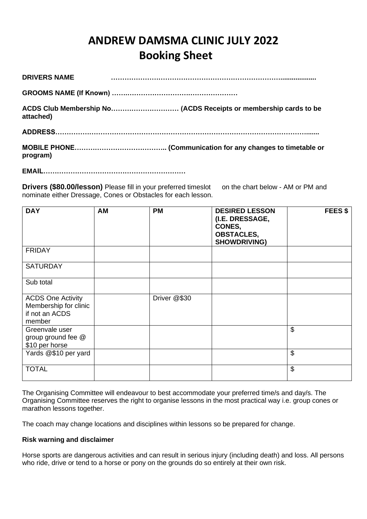### **ANDREW DAMSMA CLINIC JULY 2022 Booking Sheet**

| <b>DRIVERS NAME</b> |  |
|---------------------|--|
|                     |  |
| attached)           |  |
|                     |  |
| program)            |  |
|                     |  |

**Drivers (\$80.00/lesson)** Please fill in your preferred timeslot on the chart below - AM or PM and nominate either Dressage, Cones or Obstacles for each lesson.

| <b>DAY</b>                                                                    | <b>AM</b> | <b>PM</b>    | <b>DESIRED LESSON</b><br>(I.E. DRESSAGE,<br>CONES,<br><b>OBSTACLES,</b><br><b>SHOWDRIVING)</b> | <b>FEES \$</b>            |
|-------------------------------------------------------------------------------|-----------|--------------|------------------------------------------------------------------------------------------------|---------------------------|
| <b>FRIDAY</b>                                                                 |           |              |                                                                                                |                           |
| <b>SATURDAY</b>                                                               |           |              |                                                                                                |                           |
| Sub total                                                                     |           |              |                                                                                                |                           |
| <b>ACDS One Activity</b><br>Membership for clinic<br>if not an ACDS<br>member |           | Driver @\$30 |                                                                                                |                           |
| Greenvale user<br>group ground fee @<br>\$10 per horse                        |           |              |                                                                                                | \$                        |
| Yards @\$10 per yard                                                          |           |              |                                                                                                | $\boldsymbol{\theta}$     |
| <b>TOTAL</b>                                                                  |           |              |                                                                                                | $\boldsymbol{\mathsf{S}}$ |

The Organising Committee will endeavour to best accommodate your preferred time/s and day/s. The Organising Committee reserves the right to organise lessons in the most practical way i.e. group cones or marathon lessons together.

The coach may change locations and disciplines within lessons so be prepared for change.

#### **Risk warning and disclaimer**

Horse sports are dangerous activities and can result in serious injury (including death) and loss. All persons who ride, drive or tend to a horse or pony on the grounds do so entirely at their own risk.